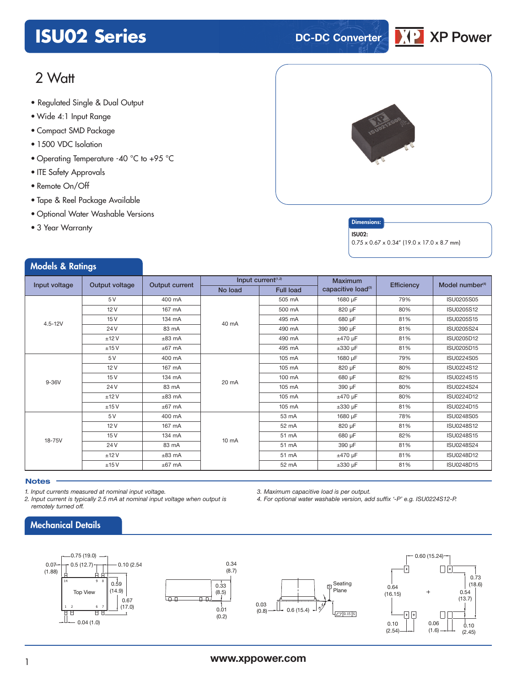## **ISU02 Series DC-DC** Converter



### 2 Watt

- Regulated Single & Dual Output
- Wide 4:1 Input Range
- Compact SMD Package
- 1500 VDC Isolation
- Operating Temperature -40 °C to +95 °C
- ITE Safety Approvals
- Remote On/Off
- Tape & Reel Package Available
- Optional Water Washable Versions
- 3 Year Warranty

Models & Ratings



### **Dimensions**

#### ISU02:

0.75 x 0.67 x 0.34" (19.0 x 17.0 x 8.7 mm)

| and the contract of the contract of the contract of the contract of the contract of the contract of the contract of |                |                |         |                                |                                |            |                             |
|---------------------------------------------------------------------------------------------------------------------|----------------|----------------|---------|--------------------------------|--------------------------------|------------|-----------------------------|
| Input voltage                                                                                                       | Output voltage | Output current |         | Input current <sup>(1,2)</sup> | <b>Maximum</b>                 | Efficiency | Model number <sup>(4)</sup> |
|                                                                                                                     |                |                | No load | <b>Full load</b>               | capacitive load <sup>(3)</sup> |            |                             |
|                                                                                                                     | 5V             | 400 mA         |         | 505 mA                         | 1680 µF                        | 79%        | ISU0205S05                  |
|                                                                                                                     | 12V            | 167 mA         |         | 500 mA                         | 820 µF                         | 80%        | ISU0205S12                  |
| $4.5 - 12V$                                                                                                         | 15V            | 134 mA         | 40 mA   | 495 mA                         | 680 µF                         | 81%        | ISU0205S15                  |
|                                                                                                                     | 24 V           | 83 mA          |         | 490 mA                         | 390 µF                         | 81%        | ISU0205S24                  |
|                                                                                                                     | ±12V           | $±83$ mA       |         | 490 mA                         | $±470 \mu F$                   | 81%        | ISU0205D12                  |
|                                                                                                                     | ±15V           | $±67$ mA       |         | 495 mA                         | $\pm 330$ µF                   | 81%        | ISU0205D15                  |
|                                                                                                                     | 5 V            | 400 mA         |         | 105 mA                         | 1680 µF                        | 79%        | <b>ISU0224S05</b>           |
|                                                                                                                     | 12V            | 167 mA         | 20 mA   | 105 mA                         | 820 µF                         | 80%        | ISU0224S12                  |
| $9-36V$                                                                                                             | 15V            | 134 mA         |         | 100 mA                         | 680 µF                         | 82%        | ISU0224S15                  |
|                                                                                                                     | 24 V           | 83 mA          |         | 105 mA                         | 390 µF                         | 80%        | ISU0224S24                  |
|                                                                                                                     | ±12V           | $±83$ mA       |         | 105 mA                         | $±470 \mu F$                   | 80%        | ISU0224D12                  |
|                                                                                                                     | ±15V           | $±67$ mA       |         | 105 mA                         | $\pm 330$ µF                   | 81%        | ISU0224D15                  |
|                                                                                                                     | 5 V            | 400 mA         |         | 53 mA                          | 1680 µF                        | 78%        | <b>ISU0248S05</b>           |
|                                                                                                                     | 12V            | 167 mA         |         | 52 mA                          | 820 µF                         | 81%        | ISU0248S12                  |
| 18-75V                                                                                                              | 15V            | 134 mA         | 10 mA   | 51 mA                          | 680 µF                         | 82%        | ISU0248S15                  |
|                                                                                                                     | 24 V           | 83 mA          |         | 51 mA                          | 390 µF                         | 81%        | <b>ISU0248S24</b>           |
|                                                                                                                     | ±12V           | $±83$ mA       |         | 51 mA                          | $±470 \mu F$                   | 81%        | ISU0248D12                  |
|                                                                                                                     | ±15V           | $±67$ mA       |         | 52 mA                          | $\pm 330$ µF                   | 81%        | ISU0248D15                  |

### **Notes**

*1. Input currents measured at nominal input voltage.*

*2. Input current is typically 2.5 mA at nominal input voltage when output is remotely turned off.*

*3. Maximum capacitive load is per output.*

*4. For optional water washable version, add suffix '-P' e.g. ISU0224S12-P.*



### Mechanical Details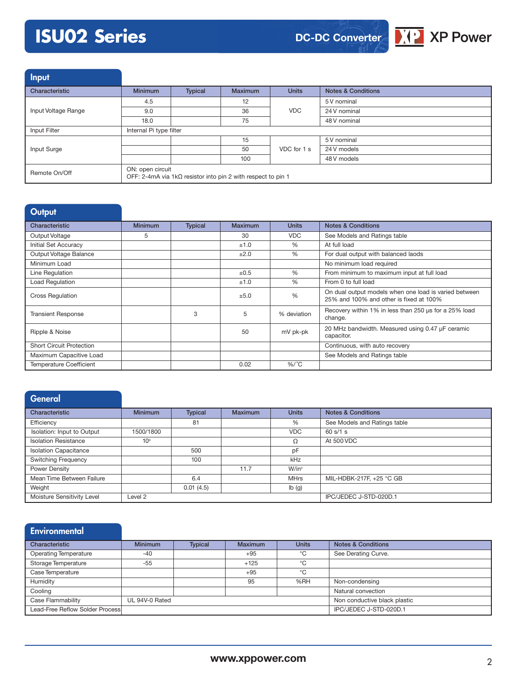# **ISU02 Series**



Input

| المتناسب المتعاط    |                                                                                         |         |                |              |                               |  |
|---------------------|-----------------------------------------------------------------------------------------|---------|----------------|--------------|-------------------------------|--|
| Characteristic      | <b>Minimum</b>                                                                          | Typical | <b>Maximum</b> | <b>Units</b> | <b>Notes &amp; Conditions</b> |  |
|                     | 4.5                                                                                     |         | 12             | <b>VDC</b>   | 5 V nominal                   |  |
| Input Voltage Range | 9.0                                                                                     |         | 36             |              | 24 V nominal                  |  |
|                     | 18.0                                                                                    |         | 75             |              | 48 V nominal                  |  |
| Input Filter        | Internal Pi type filter                                                                 |         |                |              |                               |  |
|                     |                                                                                         |         | 15             | VDC for 1 s  | 5 V nominal                   |  |
| Input Surge         |                                                                                         |         | 50             |              | 24 V models                   |  |
|                     |                                                                                         |         | 100            |              | 48 V models                   |  |
| Remote On/Off       | ON: open circuit<br>OFF: 2-4mA via $1k\Omega$ resistor into pin 2 with respect to pin 1 |         |                |              |                               |  |

| Output                          |                |                |         |               |                                                                                                  |
|---------------------------------|----------------|----------------|---------|---------------|--------------------------------------------------------------------------------------------------|
| Characteristic                  | <b>Minimum</b> | <b>Typical</b> | Maximum | <b>Units</b>  | <b>Notes &amp; Conditions</b>                                                                    |
| Output Voltage                  | 5              |                | 30      | <b>VDC</b>    | See Models and Ratings table                                                                     |
| Initial Set Accuracy            |                |                | ±1.0    | %             | At full load                                                                                     |
| Output Voltage Balance          |                |                | ±2.0    | $\frac{0}{0}$ | For dual output with balanced laods                                                              |
| Minimum Load                    |                |                |         |               | No minimum load required                                                                         |
| Line Regulation                 |                |                | ±0.5    | $\%$          | From minimum to maximum input at full load                                                       |
| Load Regulation                 |                |                | ±1.0    | $\frac{0}{0}$ | From 0 to full load                                                                              |
| <b>Cross Regulation</b>         |                |                | ±5.0    | %             | On dual output models when one load is varied between<br>25% and 100% and other is fixed at 100% |
| <b>Transient Response</b>       |                | 3              | 5       | % deviation   | Recovery within 1% in less than 250 us for a 25% load<br>change.                                 |
| Ripple & Noise                  |                |                | 50      | mV pk-pk      | 20 MHz bandwidth. Measured using 0.47 µF ceramic<br>capacitor.                                   |
| <b>Short Circuit Protection</b> |                |                |         |               | Continuous, with auto recovery                                                                   |
| Maximum Capacitive Load         |                |                |         |               | See Models and Ratings table                                                                     |
| <b>Temperature Coefficient</b>  |                |                | 0.02    | $%$ /°C       |                                                                                                  |

| General                      |                 |                |                |              |                               |
|------------------------------|-----------------|----------------|----------------|--------------|-------------------------------|
| Characteristic               | <b>Minimum</b>  | <b>Typical</b> | <b>Maximum</b> | <b>Units</b> | <b>Notes &amp; Conditions</b> |
| Efficiency                   |                 | 81             |                | %            | See Models and Ratings table  |
| Isolation: Input to Output   | 1500/1800       |                |                | <b>VDC</b>   | 60 s/1 s                      |
| <b>Isolation Resistance</b>  | 10 <sup>9</sup> |                |                | Ω            | At 500 VDC                    |
| <b>Isolation Capacitance</b> |                 | 500            |                | pF           |                               |
| <b>Switching Frequency</b>   |                 | 100            |                | kHz          |                               |
| Power Density                |                 |                | 11.7           | $W/in^3$     |                               |
| Mean Time Between Failure    |                 | 6.4            |                | <b>MHrs</b>  | MIL-HDBK-217F, +25 °C GB      |
| Weight                       |                 | 0.01(4.5)      |                | Ib(g)        |                               |
| Moisture Sensitivity Level   | Level 2         |                |                |              | IPC/JEDEC J-STD-020D.1        |

| <b>Environmental</b>            |                |                |                |              |                               |
|---------------------------------|----------------|----------------|----------------|--------------|-------------------------------|
| Characteristic                  | <b>Minimum</b> | <b>Typical</b> | <b>Maximum</b> | <b>Units</b> | <b>Notes &amp; Conditions</b> |
| <b>Operating Temperature</b>    | $-40$          |                | $+95$          | °C           | See Derating Curve.           |
| Storage Temperature             | $-55$          |                | $+125$         | °C           |                               |
| Case Temperature                |                |                | $+95$          | °C           |                               |
| Humidity                        |                |                | 95             | %RH          | Non-condensing                |
| Cooling                         |                |                |                |              | Natural convection            |
| Case Flammability               | UL 94V-0 Rated |                |                |              | Non conductive black plastic  |
| Lead-Free Reflow Solder Process |                |                |                |              | IPC/JEDEC J-STD-020D.1        |